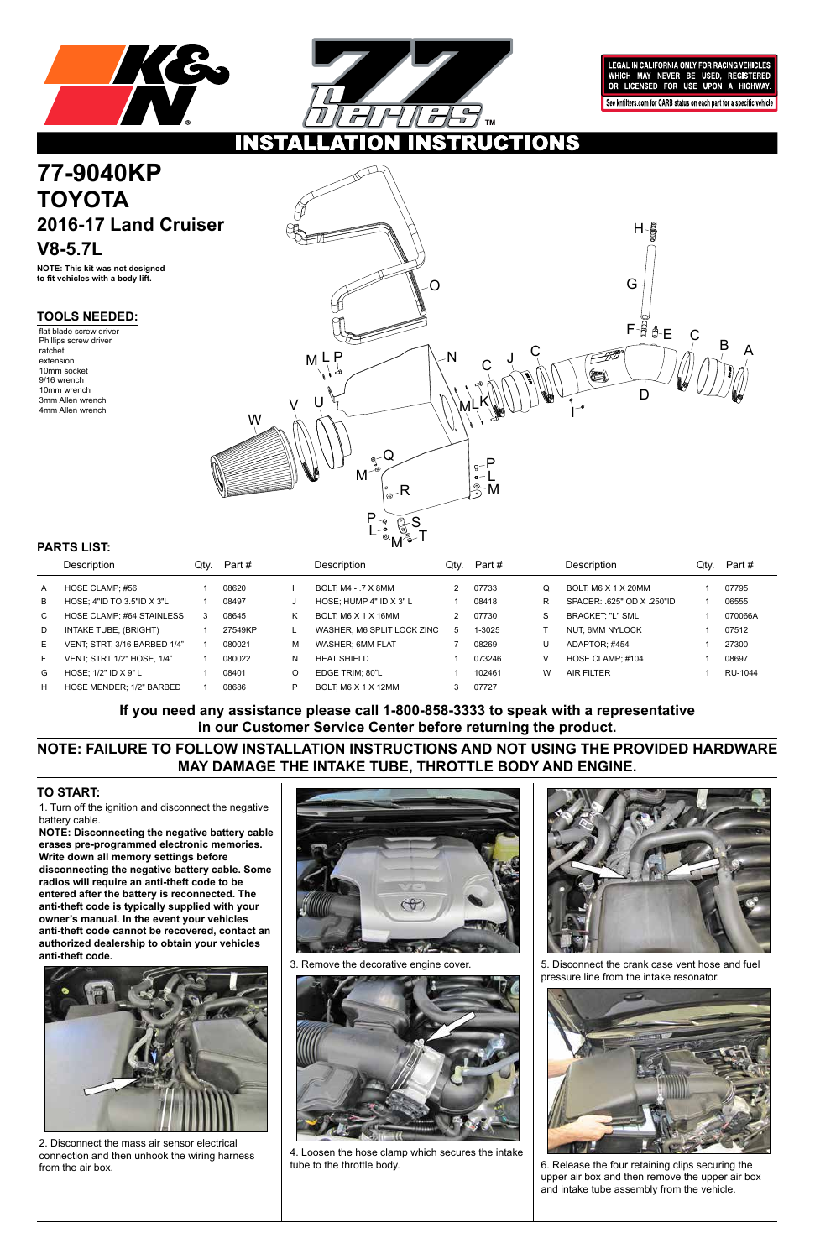



LEGAL IN CALIFORNIA ONLY FOR RACING VEHICLES WHICH MAY NEVER BE USED, REGISTERED<br>OR LICENSED FOR USE UPON A HIGHWAY. See knfilters.com for CARB status on each part for a specific vehicle

**CTIONS** 

1. Turn off the ignition and disconnect the negative battery cable.

# **77-9040KP TOYOTA 2016-17 Land Cruiser V8-5.7L**

**NOTE: Disconnecting the negative battery cable erases pre-programmed electronic memories. Write down all memory settings before disconnecting the negative battery cable. Some radios will require an anti-theft code to be entered after the battery is reconnected. The anti-theft code is typically supplied with your owner's manual. In the event your vehicles anti-theft code cannot be recovered, contact an authorized dealership to obtain your vehicles anti-theft code.**





### **TO START:**

**NOTE: This kit was not designed to fit vehicles with a body lift.**

**TOOLS NEEDED:**

flat blade screw driver Phillips screw driver ratchet extension 10mm socket 9/16 wrench 10mm wrench 3mm Allen wrench 4mm Allen wrench

**NOTE: FAILURE TO FOLLOW INSTALLATION INSTRUCTIONS AND NOT USING THE PROVIDED HARDWARE MAY DAMAGE THE INTAKE TUBE, THROTTLE BODY AND ENGINE.**

**If you need any assistance please call 1-800-858-3333 to speak with a representative in our Customer Service Center before returning the product.**

|    | <b>Description</b>                | Qtv. | Part #  |   | Description                 | Qtv. | Part # |   | Description              | Qtv. | Part #  |
|----|-----------------------------------|------|---------|---|-----------------------------|------|--------|---|--------------------------|------|---------|
| A  | HOSE CLAMP: #56                   |      | 08620   |   | BOLT: M4 - .7 X 8MM         |      | 07733  | Q | BOLT: M6 X 1 X 20MM      |      | 07795   |
| B  | HOSE: 4"ID TO 3.5"ID $X$ 3"L      |      | 08497   | J | HOSE: HUMP $4"$ ID $X$ 3" L |      | 08418  | R | SPACER: 625" OD X 250"ID |      | 06555   |
| C. | HOSE CLAMP: #64 STAINLESS         | 3    | 08645   | Κ | BOLT: M6 X 1 X 16MM         |      | 07730  | S | <b>BRACKET: "L" SML</b>  |      | 070066A |
| D  | INTAKE TUBE; (BRIGHT)             |      | 27549KP |   | WASHER, M6 SPLIT LOCK ZINC  | 5    | 1-3025 |   | NUT, 6MM NYLOCK          |      | 07512   |
| E. | VENT: STRT, 3/16 BARBED 1/4"      |      | 080021  | М | WASHER: 6MM FLAT            |      | 08269  | U | ADAPTOR: #454            |      | 27300   |
| F. | <b>VENT: STRT 1/2" HOSE. 1/4"</b> |      | 080022  | N | <b>HEAT SHIELD</b>          |      | 073246 | V | HOSE CLAMP: #104         |      | 08697   |
| G  | HOSE: $1/2$ " ID X 9" L           |      | 08401   | O | EDGE TRIM: 80"L             |      | 102461 | W | <b>AIR FILTER</b>        |      | RU-1044 |
| н  | HOSE MENDER; 1/2" BARBED          |      | 08686   | P | BOLT: M6 X 1 X 12MM         |      | 07727  |   |                          |      |         |

## **PARTS LIST:**



2. Disconnect the mass air sensor electrical connection and then unhook the wiring harness from the air box.

3. Remove the decorative engine cover.



4. Loosen the hose clamp which secures the intake tube to the throttle body.

5. Disconnect the crank case vent hose and fuel pressure line from the intake resonator.



6. Release the four retaining clips securing the upper air box and then remove the upper air box and intake tube assembly from the vehicle.

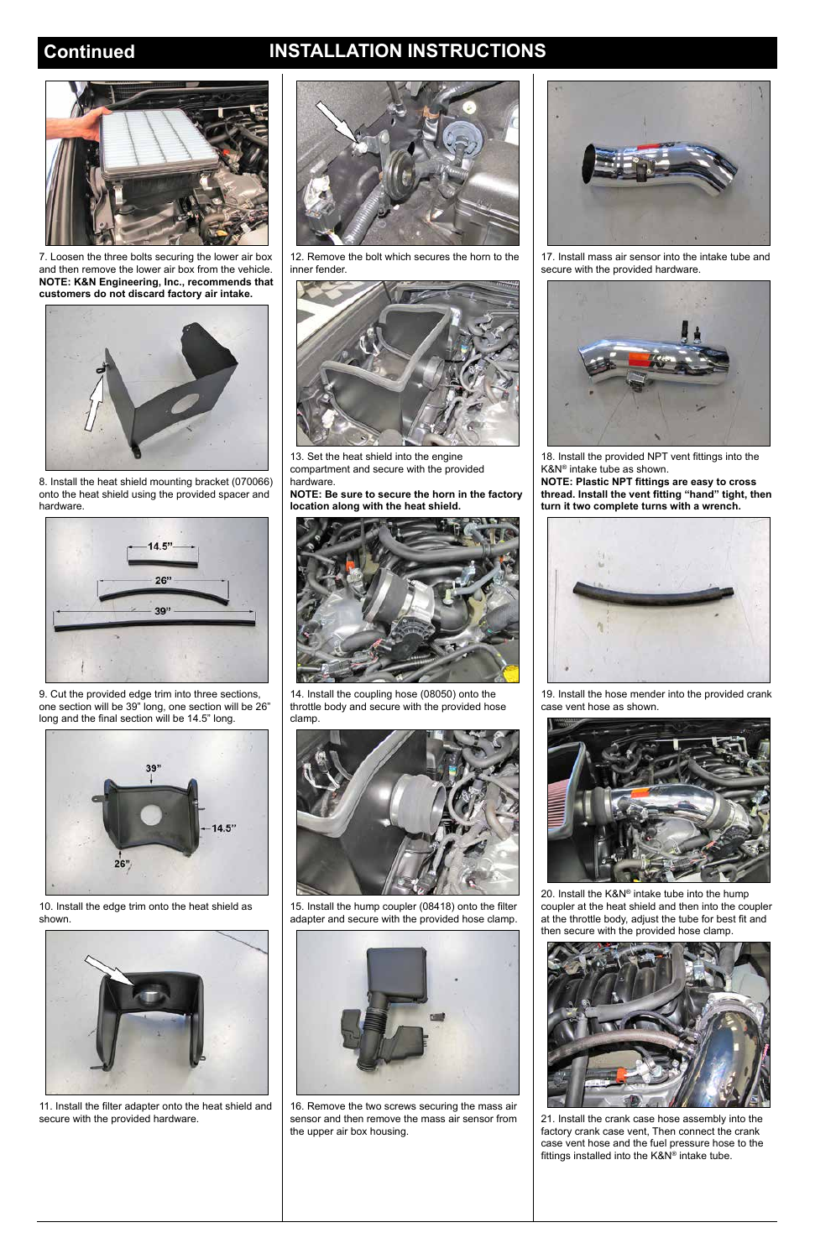## **Continued INSTALLATION INSTRUCTIONS**



7. Loosen the three bolts securing the lower air box and then remove the lower air box from the vehicle. **NOTE: K&N Engineering, Inc., recommends that customers do not discard factory air intake.**



8. Install the heat shield mounting bracket (070066) onto the heat shield using the provided spacer and hardware.



9. Cut the provided edge trim into three sections, one section will be 39" long, one section will be 26" long and the final section will be 14.5" long.



10. Install the edge trim onto the heat shield as shown.

11. Install the filter adapter onto the heat shield and secure with the provided hardware.





12. Remove the bolt which secures the horn to the inner fender.



13. Set the heat shield into the engine compartment and secure with the provided hardware.

**NOTE: Be sure to secure the horn in the factory location along with the heat shield.**



14. Install the coupling hose (08050) onto the throttle body and secure with the provided hose clamp.



15. Install the hump coupler (08418) onto the filter adapter and secure with the provided hose clamp.

16. Remove the two screws securing the mass air sensor and then remove the mass air sensor from the upper air box housing.



17. Install mass air sensor into the intake tube and secure with the provided hardware.



18. Install the provided NPT vent fittings into the K&N® intake tube as shown.

**NOTE: Plastic NPT fittings are easy to cross thread. Install the vent fitting "hand" tight, then turn it two complete turns with a wrench.**



19. Install the hose mender into the provided crank case vent hose as shown.



20. Install the K&N® intake tube into the hump coupler at the heat shield and then into the coupler at the throttle body, adjust the tube for best fit and



then secure with the provided hose clamp.



21. Install the crank case hose assembly into the factory crank case vent, Then connect the crank case vent hose and the fuel pressure hose to the fittings installed into the K&N® intake tube.